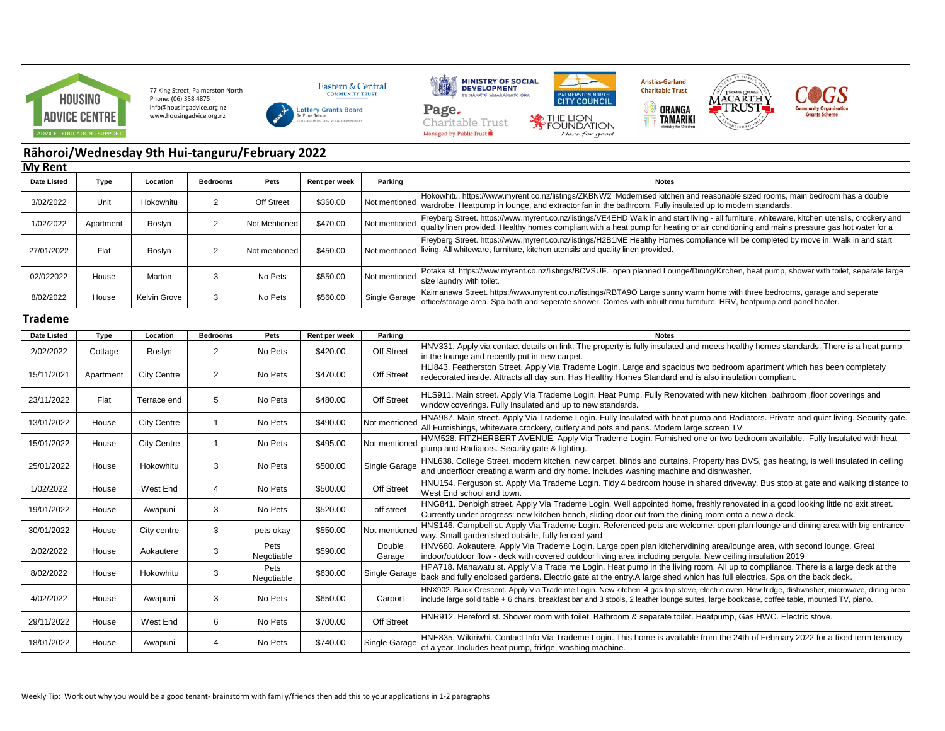

77 King Street, Palmerston North Phone: (06) 358 4875 info@housingadvice.org.nz www.housingadvice.org.nz





Charitable Trust Managed by Public Trust





 $\circledcirc$ 



## **Rāhoroi/Wednesday 9th Hui-tanguru/February 2022 My Rent**

| ,                  |           |                    |                 |                    |               |                  |                                                                                                                                                                                                                                                                                              |
|--------------------|-----------|--------------------|-----------------|--------------------|---------------|------------------|----------------------------------------------------------------------------------------------------------------------------------------------------------------------------------------------------------------------------------------------------------------------------------------------|
| <b>Date Listed</b> | Type      | Location           | <b>Bedrooms</b> | Pets               | Rent per week | Parking          | <b>Notes</b>                                                                                                                                                                                                                                                                                 |
| 3/02/2022          | Unit      | Hokowhitu          | 2               | <b>Off Street</b>  | \$360.00      | Not mentioned    | Hokowhitu. https://www.myrent.co.nz/listings/ZKBNW2 Modernised kitchen and reasonable sized rooms, main bedroom has a double<br>wardrobe. Heatpump in lounge, and extractor fan in the bathroom. Fully insulated up to modern standards.                                                     |
| 1/02/2022          | Apartment | Roslyn             | $\overline{2}$  | Not Mentioned      | \$470.00      | Not mentioned    | Freyberg Street. https://www.myrent.co.nz/listings/VE4EHD Walk in and start living - all furniture, whiteware, kitchen utensils, crockery and<br>quality linen provided. Healthy homes compliant with a heat pump for heating or air conditioning and mains pressure gas hot water for a     |
| 27/01/2022         | Flat      | Roslyn             | $\overline{2}$  | Not mentioned      | \$450.00      | Not mentioned    | Freyberg Street. https://www.myrent.co.nz/listings/H2B1ME Healthy Homes compliance will be completed by move in. Walk in and start<br>living. All whiteware, furniture, kitchen utensils and quality linen provided.                                                                         |
| 02/022022          | House     | Marton             | 3               | No Pets            | \$550.00      | Not mentioned    | Potaka st. https://www.myrent.co.nz/listings/BCVSUF. open planned Lounge/Dining/Kitchen, heat pump, shower with toilet, separate large<br>size laundry with toilet.                                                                                                                          |
| 8/02/2022          | House     | Kelvin Grove       | 3               | No Pets            | \$560.00      | Single Garage    | Kaimanawa Street. https://www.myrent.co.nz/listings/RBTA9O Large sunny warm home with three bedrooms, garage and seperate<br>office/storage area. Spa bath and seperate shower. Comes with inbuilt rimu furniture. HRV, heatpump and panel heater.                                           |
| <b>Trademe</b>     |           |                    |                 |                    |               |                  |                                                                                                                                                                                                                                                                                              |
| Date Listed        | Type      | Location           | <b>Bedrooms</b> | Pets               | Rent per week | Parking          | <b>Notes</b>                                                                                                                                                                                                                                                                                 |
| 2/02/2022          | Cottage   | Roslyn             | $\overline{2}$  | No Pets            | \$420.00      | Off Street       | HNV331. Apply via contact details on link. The property is fully insulated and meets healthy homes standards. There is a heat pump<br>in the lounge and recently put in new carpet.                                                                                                          |
| 15/11/2021         | Apartment | <b>City Centre</b> | 2               | No Pets            | \$470.00      | Off Street       | HLI843. Featherston Street. Apply Via Trademe Login. Large and spacious two bedroom apartment which has been completely<br>redecorated inside. Attracts all day sun. Has Healthy Homes Standard and is also insulation compliant.                                                            |
| 23/11/2022         | Flat      | Terrace end        | 5               | No Pets            | \$480.00      | Off Street       | HLS911. Main street. Apply Via Trademe Login. Heat Pump. Fully Renovated with new kitchen ,bathroom, floor coverings and<br>window coverings. Fully Insulated and up to new standards.                                                                                                       |
| 13/01/2022         | House     | <b>City Centre</b> | $\overline{1}$  | No Pets            | \$490.00      | Not mentioned    | HNA987. Main street. Apply Via Trademe Login. Fully Insulated with heat pump and Radiators. Private and quiet living. Security gate.<br>All Furnishings, whiteware, crockery, cutlery and pots and pans. Modern large screen TV                                                              |
| 15/01/2022         | House     | <b>City Centre</b> | $\mathbf{1}$    | No Pets            | \$495.00      | Not mentioned    | HMM528. FITZHERBERT AVENUE. Apply Via Trademe Login. Furnished one or two bedroom available. Fully Insulated with heat<br>pump and Radiators. Security gate & lighting.                                                                                                                      |
| 25/01/2022         | House     | Hokowhitu          | 3               | No Pets            | \$500.00      | Single Garage    | HNL638. College Street, modern kitchen, new carpet, blinds and curtains. Property has DVS, gas heating, is well insulated in ceiling<br>and underfloor creating a warm and dry home. Includes washing machine and dishwasher.                                                                |
| 1/02/2022          | House     | West End           | $\overline{4}$  | No Pets            | \$500.00      | Off Street       | HNU154. Ferguson st. Apply Via Trademe Login. Tidy 4 bedroom house in shared driveway. Bus stop at gate and walking distance to<br>West End school and town.                                                                                                                                 |
| 19/01/2022         | House     | Awapuni            | 3               | No Pets            | \$520.00      | off street       | HNG841. Denbigh street. Apply Via Trademe Login. Well appointed home, freshly renovated in a good looking little no exit street.<br>Currently under progress: new kitchen bench, sliding door out from the dining room onto a new a deck.                                                    |
| 30/01/2022         | House     | City centre        | 3               | pets okay          | \$550.00      | Not mentioned    | HNS146. Campbell st. Apply Via Trademe Login. Referenced pets are welcome, open plan lounge and dining area with big entrance<br>way. Small garden shed outside, fully fenced yard                                                                                                           |
| 2/02/2022          | House     | Aokautere          | 3               | Pets<br>Negotiable | \$590.00      | Double<br>Garage | HNV680. Aokautere. Apply Via Trademe Login. Large open plan kitchen/dining area/lounge area, with second lounge. Great<br>indoor/outdoor flow - deck with covered outdoor living area including pergola. New ceiling insulation 2019                                                         |
| 8/02/2022          | House     | Hokowhitu          | 3               | Pets<br>Negotiable | \$630.00      | Single Garage    | HPA718. Manawatu st. Apply Via Trade me Login. Heat pump in the living room. All up to compliance. There is a large deck at the<br>back and fully enclosed gardens. Electric gate at the entry.A large shed which has full electrics. Spa on the back deck.                                  |
| 4/02/2022          | House     | Awapuni            | 3               | No Pets            | \$650.00      | Carport          | HNX902. Buick Crescent. Apply Via Trade me Login. New kitchen: 4 gas top stove, electric oven, New fridge, dishwasher, microwave, dining area<br>include large solid table + 6 chairs, breakfast bar and 3 stools, 2 leather lounge suites, large bookcase, coffee table, mounted TV, piano. |
| 29/11/2022         | House     | West End           | 6               | No Pets            | \$700.00      | Off Street       | HNR912. Hereford st. Shower room with toilet. Bathroom & separate toilet. Heatpump, Gas HWC. Electric stove.                                                                                                                                                                                 |
| 18/01/2022         | House     | Awapuni            | $\overline{4}$  | No Pets            | \$740.00      | Single Garage    | HNE835. Wikiriwhi. Contact Info Via Trademe Login. This home is available from the 24th of February 2022 for a fixed term tenancy<br>of a year. Includes heat pump, fridge, washing machine.                                                                                                 |